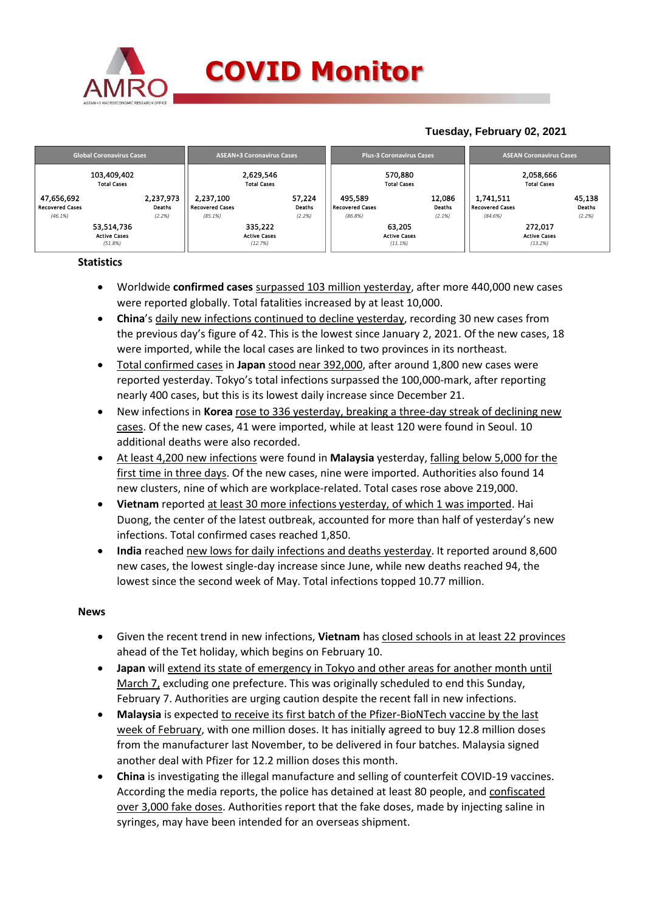

## **COVID Monitor**

### **Tuesday, February 02, 2021**

| <b>Global Coronavirus Cases</b>                 |                               | <b>ASEAN+3 Coronavirus Cases</b>               |                                           |                            | <b>Plus-3 Coronavirus Cases</b>              |                                          | <b>ASEAN Coronavirus Cases</b> |                                         |                                           |                            |
|-------------------------------------------------|-------------------------------|------------------------------------------------|-------------------------------------------|----------------------------|----------------------------------------------|------------------------------------------|--------------------------------|-----------------------------------------|-------------------------------------------|----------------------------|
| 103,409,402<br><b>Total Cases</b>               |                               |                                                | 2,629,546<br><b>Total Cases</b>           |                            |                                              | 570,880<br><b>Total Cases</b>            |                                |                                         | 2,058,666<br><b>Total Cases</b>           |                            |
| 47,656,692<br><b>Recovered Cases</b><br>(46.1%) | 2,237,973<br>Deaths<br>(2.2%) | 2,237,100<br><b>Recovered Cases</b><br>(85.1%) |                                           | 57,224<br>Deaths<br>(2.2%) | 495,589<br><b>Recovered Cases</b><br>(86.8%) |                                          | 12,086<br>Deaths<br>(2.1%)     | 1,741,511<br>Recovered Cases<br>(84.6%) |                                           | 45,138<br>Deaths<br>(2.2%) |
| 53,514,736<br><b>Active Cases</b><br>(51.8%)    |                               |                                                | 335,222<br><b>Active Cases</b><br>(12.7%) |                            |                                              | 63,205<br><b>Active Cases</b><br>(11.1%) |                                |                                         | 272,017<br><b>Active Cases</b><br>(13.2%) |                            |

**Statistics**

- Worldwide **confirmed cases** surpassed 103 million yesterday, after more 440,000 new cases were reported globally. Total fatalities increased by at least 10,000.
- **China**'s daily new infections continued to decline yesterday, recording 30 new cases from the previous day's figure of 42. This is the lowest since January 2, 2021. Of the new cases, 18 were imported, while the local cases are linked to two provinces in its northeast.
- Total confirmed cases in **Japan** stood near 392,000, after around 1,800 new cases were reported yesterday. Tokyo's total infections surpassed the 100,000-mark, after reporting nearly 400 cases, but this is its lowest daily increase since December 21.
- New infections in **Korea** rose to 336 yesterday, breaking a three-day streak of declining new cases. Of the new cases, 41 were imported, while at least 120 were found in Seoul. 10 additional deaths were also recorded.
- At least 4,200 new infections were found in **Malaysia** yesterday, falling below 5,000 for the first time in three days. Of the new cases, nine were imported. Authorities also found 14 new clusters, nine of which are workplace-related. Total cases rose above 219,000.
- **Vietnam** reported at least 30 more infections yesterday, of which 1 was imported. Hai Duong, the center of the latest outbreak, accounted for more than half of yesterday's new infections. Total confirmed cases reached 1,850.
- **India** reached new lows for daily infections and deaths yesterday. It reported around 8,600 new cases, the lowest single-day increase since June, while new deaths reached 94, the lowest since the second week of May. Total infections topped 10.77 million.

#### **News**

- Given the recent trend in new infections, **Vietnam** has closed schools in at least 22 provinces ahead of the Tet holiday, which begins on February 10.
- **Japan** will extend its state of emergency in Tokyo and other areas for another month until March 7, excluding one prefecture. This was originally scheduled to end this Sunday, February 7. Authorities are urging caution despite the recent fall in new infections.
- **Malaysia** is expected to receive its first batch of the Pfizer-BioNTech vaccine by the last week of February, with one million doses. It has initially agreed to buy 12.8 million doses from the manufacturer last November, to be delivered in four batches. Malaysia signed another deal with Pfizer for 12.2 million doses this month.
- **China** is investigating the illegal manufacture and selling of counterfeit COVID-19 vaccines. According the media reports, the police has detained at least 80 people, and confiscated over 3,000 fake doses. Authorities report that the fake doses, made by injecting saline in syringes, may have been intended for an overseas shipment.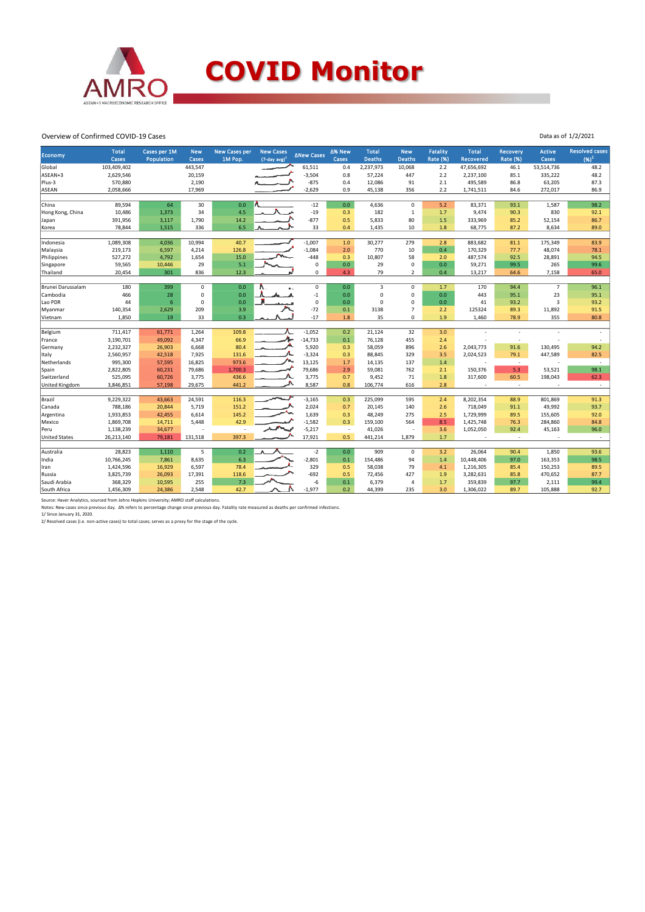

#### Overview of Confirmed COVID-19 Cases

|                      | <b>Total</b>     | Cases per 1M | <b>New</b>              | <b>New Cases per</b> | <b>New Cases</b>   |                     | ∆% New     | <b>Total</b>  | <b>New</b>                 | Fatality        | <b>Total</b>             | <b>Recovery</b>          | <b>Active</b>        | <b>Resolved cases</b> |
|----------------------|------------------|--------------|-------------------------|----------------------|--------------------|---------------------|------------|---------------|----------------------------|-----------------|--------------------------|--------------------------|----------------------|-----------------------|
| Economy              | Cases            | Population   | Cases                   | 1M Pop.              | $(7$ -day avg) $1$ | <b>ANew Cases</b>   | Cases      | <b>Deaths</b> | <b>Deaths</b>              | <b>Rate (%)</b> | Recovered                | Rate (%)                 | Cases                | $(96)^2$              |
| Global               | 103,409,402      |              | 443,547                 |                      |                    | 61,511              | 0.4        | 2,237,973     | 10,068                     | 2.2             | 47,656,692               | 46.1                     | 53,514,736           | 48.2                  |
| ASEAN+3              | 2,629,546        |              | 20,159                  |                      |                    | $-3,504$            | 0.8        | 57,224        | 447                        | 2.2             | 2,237,100                | 85.1                     | 335,222              | 48.2                  |
| Plus-3               | 570,880          |              | 2,190                   |                      |                    | $-875$              | 0.4        | 12,086        | 91                         | 2.1             | 495,589                  | 86.8                     | 63,205               | 87.3                  |
| ASEAN                | 2,058,666        |              | 17,969                  |                      |                    | $-2,629$            | 0.9        | 45,138        | 356                        | 2.2             | 1,741,511                | 84.6                     | 272,017              | 86.9                  |
|                      |                  |              |                         |                      |                    |                     |            |               |                            |                 |                          |                          |                      |                       |
| China                | 89,594           | 64           | 30                      | 0.0                  |                    | $-12$               | 0.0        | 4,636         | $\mathbf 0$                | 5.2             | 83,371                   | 93.1                     | 1,587                | 98.2                  |
| Hong Kong, China     | 10,486           | 1,373        | 34                      | 4.5                  |                    | $-19$               | 0.3        | 182           | 1                          | 1.7             | 9,474                    | 90.3                     | 830                  | 92.1                  |
| Japan                | 391,956          | 3,117        | 1,790                   | 14.2                 |                    | $-877$              | 0.5        | 5,833         | 80                         | 1.5             | 333,969                  | 85.2                     | 52,154               | 86.7                  |
| Korea                | 78,844           | 1,515        | 336                     | 6.5                  |                    | 33                  | 0.4        | 1,435         | 10                         | 1.8             | 68,775                   | 87.2                     | 8,634                | 89.0                  |
|                      |                  |              |                         |                      |                    |                     |            |               |                            |                 |                          |                          |                      |                       |
| Indonesia            | 1,089,308        | 4,036        | 10,994                  | 40.7                 |                    | $-1,007$            | 1.0        | 30,277        | 279                        | 2.8             | 883,682                  | 81.1                     | 175,349              | 83.9                  |
| Malaysia             | 219,173          | 6,597        | 4,214                   | 126.8                |                    | $-1,084$            | 2.0        | 770           | 10                         | 0.4             | 170,329                  | 77.7                     | 48,074               | 78.1                  |
| Philippines          | 527,272          | 4,792        | 1,654                   | 15.0                 |                    | $-448$              | 0.3        | 10,807        | 58                         | 2.0             | 487,574                  | 92.5                     | 28,891               | 94.5                  |
| Singapore            | 59,565           | 10,446       | 29                      | 5.1                  |                    | 0                   | $0.0\,$    | 29            | $\mathbf 0$                | 0.0             | 59,271                   | 99.5                     | 265                  | 99.6                  |
| Thailand             | 20,454           | 301          | 836                     | 12.3                 |                    | 0                   | 4.3        | 79            | $\overline{2}$             | 0.4             | 13,217                   | 64.6                     | 7,158                | 65.0                  |
|                      |                  |              |                         |                      |                    |                     |            |               |                            |                 |                          |                          | $\overline{7}$       |                       |
| Brunei Darussalam    | 180<br>466       | 399          | $\mathsf 0$<br>$\Omega$ | 0.0<br>0.0           |                    | $\mathsf 0$<br>$-1$ | 0.0        | 3<br>0        | $\mathbf 0$<br>$\mathbf 0$ | 1.7             | 170                      | 94.4                     |                      | 96.1                  |
| Cambodia             | 44               | 28<br>6      | $\Omega$                | 0.0                  |                    | $\mathsf 0$         | 0.0        | $\Omega$      | $\Omega$                   | 0.0<br>0.0      | 443                      | 95.1                     | 23<br>$\overline{3}$ | 95.1                  |
| Lao PDR              |                  |              | 209                     | 3.9                  |                    | $-72$               | 0.0<br>0.1 | 3138          | $\overline{7}$             | 2.2             | 41<br>125324             | 93.2<br>89.3             | 11,892               | 93.2<br>91.5          |
| Myanmar<br>Vietnam   | 140,354<br>1,850 | 2,629<br>19  | 33                      | 0.3                  |                    | $-17$               | 1.8        | 35            | $\Omega$                   | 1.9             | 1,460                    | 78.9                     | 355                  | 80.8                  |
|                      |                  |              |                         |                      |                    |                     |            |               |                            |                 |                          |                          |                      |                       |
| Belgium              | 711,417          | 61,771       | 1,264                   | 109.8                |                    | $-1,052$            | 0.2        | 21,124        | 32                         | 3.0             |                          |                          |                      |                       |
| France               | 3,190,701        | 49,092       | 4,347                   | 66.9                 |                    | $-14,733$           | 0.1        | 76,128        | 455                        | 2.4             |                          |                          |                      |                       |
| Germany              | 2,232,327        | 26,903       | 6,668                   | 80.4                 |                    | 5,920               | 0.3        | 58,059        | 896                        | 2.6             | 2,043,773                | 91.6                     | 130,495              | 94.2                  |
| Italy                | 2,560,957        | 42,518       | 7,925                   | 131.6                |                    | $-3,324$            | 0.3        | 88,845        | 329                        | 3.5             | 2,024,523                | 79.1                     | 447,589              | 82.5                  |
| Netherlands          | 995,300          | 57,595       | 16,825                  | 973.6                |                    | 13,125              | 1.7        | 14,135        | 137                        | 1.4             | ÷,                       | $\sim$                   |                      | $\sim$                |
| Spain                | 2,822,805        | 60,231       | 79,686                  | 1,700.3              |                    | 79,686              | 2.9        | 59,081        | 762                        | 2.1             | 150,376                  | 5.3                      | 53,521               | 98.1                  |
| Switzerland          | 525,095          | 60,726       | 3,775                   | 436.6                |                    | 3,775               | 0.7        | 9,452         | 71                         | 1.8             | 317,600                  | 60.5                     | 198,043              | 62.3                  |
| United Kingdom       | 3,846,851        | 57,198       | 29,675                  | 441.2                |                    | 8,587               | 0.8        | 106,774       | 616                        | 2.8             | ÷,                       | $\sim$                   |                      | $\sim$                |
|                      |                  |              |                         |                      |                    |                     |            |               |                            |                 |                          |                          |                      |                       |
| Brazil               | 9,229,322        | 43,663       | 24,591                  | 116.3                |                    | $-3,165$            | 0.3        | 225,099       | 595                        | 2.4             | 8,202,354                | 88.9                     | 801,869              | 91.3                  |
| Canada               | 788,186          | 20,844       | 5,719                   | 151.2                |                    | 2,024               | 0.7        | 20,145        | 140                        | 2.6             | 718,049                  | 91.1                     | 49,992               | 93.7                  |
| Argentina            | 1,933,853        | 42,455       | 6,614                   | 145.2                |                    | 1,639               | 0.3        | 48,249        | 275                        | 2.5             | 1,729,999                | 89.5                     | 155,605              | 92.0                  |
| Mexico               | 1,869,708        | 14,711       | 5,448                   | 42.9                 |                    | $-1,582$            | 0.3        | 159,100       | 564                        | 8.5             | 1,425,748                | 76.3                     | 284,860              | 84.8                  |
| Peru                 | 1,138,239        | 34,677       |                         |                      |                    | $-5,217$            | $\sim$     | 41,026        |                            | 3.6             | 1,052,050                | 92.4                     | 45,163               | 96.0                  |
| <b>United States</b> | 26,213,140       | 79,181       | 131,518                 | 397.3                |                    | 17,921              | 0.5        | 441,214       | 1,879                      | 1.7             | $\overline{\phantom{a}}$ | $\overline{\phantom{a}}$ |                      | $\sim$                |
|                      |                  |              |                         |                      |                    |                     |            |               |                            |                 |                          |                          |                      |                       |
| Australia            | 28,823           | 1,110        | 5                       | 0.2                  |                    | $-2$                | 0.0        | 909           | $\mathsf 0$                | 3.2             | 26,064                   | 90.4                     | 1,850                | 93.6                  |
| India                | 10,766,245       | 7,861        | 8,635                   | 6.3                  |                    | $-2,801$            | 0.1        | 154,486       | 94                         | 1.4             | 10,448,406               | 97.0                     | 163,353              | 98.5                  |
| Iran                 | 1,424,596        | 16,929       | 6,597                   | 78.4                 |                    | 329                 | 0.5        | 58,038        | 79                         | 4.1             | 1,216,305                | 85.4                     | 150,253              | 89.5                  |
| Russia               | 3,825,739        | 26,093       | 17,391                  | 118.6                |                    | $-692$              | 0.5        | 72,456        | 427                        | 1.9             | 3,282,631                | 85.8                     | 470,652              | 87.7                  |
| Saudi Arabia         | 368,329          | 10,595       | 255                     | 7.3                  |                    | -6                  | 0.1        | 6,379         | $\overline{4}$             | 1.7             | 359,839                  | 97.7                     | 2,111                | 99.4                  |
| South Africa         | 1,456,309        | 24,386       | 2,548                   | 42.7                 |                    | $-1,977$            | 0.2        | 44,399        | 235                        | 3.0             | 1,306,022                | 89.7                     | 105,888              | 92.7                  |

Source: Haver Analytics, sourced from Johns Hopkins University; AMRO staff calculations.<br>Notes: New cases since previous day. Δ% refers to percentage change since previous day. Fatality rate measured as deaths per confirm

Data as of 1/2/2021